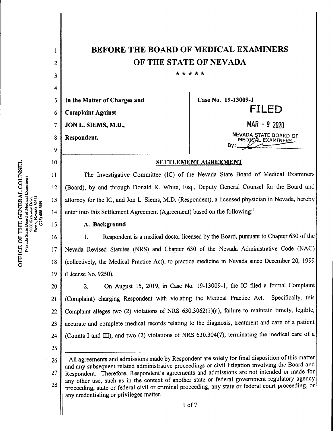| 1  | <b>BEFORE THE BOARD OF MEDICAL EXAMINERS</b>                                                                                                                                                                       |                                            |  |  |
|----|--------------------------------------------------------------------------------------------------------------------------------------------------------------------------------------------------------------------|--------------------------------------------|--|--|
| 2  | OF THE STATE OF NEVADA                                                                                                                                                                                             |                                            |  |  |
| 3  | * * * * *                                                                                                                                                                                                          |                                            |  |  |
| 4  |                                                                                                                                                                                                                    |                                            |  |  |
| 5  | In the Matter of Charges and                                                                                                                                                                                       | Case No. 19-13009-1                        |  |  |
| 6  | <b>Complaint Against</b>                                                                                                                                                                                           | FILED                                      |  |  |
| 7  | JON L. SIEMS, M.D.,                                                                                                                                                                                                | $MAR - 92020$                              |  |  |
| 8  | Respondent.                                                                                                                                                                                                        | NEVADA STATE BOARD OF<br>MEDICAL EXAMINERS |  |  |
| 9  |                                                                                                                                                                                                                    | By:                                        |  |  |
| 10 | SETTLEMENT AGREEMENT                                                                                                                                                                                               |                                            |  |  |
| 11 | The Investigative Committee (IC) of the Nevada State Board of Medical Examiners                                                                                                                                    |                                            |  |  |
| 12 | (Board), by and through Donald K. White, Esq., Deputy General Counsel for the Board and                                                                                                                            |                                            |  |  |
| 13 | attorney for the IC, and Jon L. Siems, M.D. (Respondent), a licensed physician in Nevada, hereby                                                                                                                   |                                            |  |  |
| 14 | enter into this Settlement Agreement (Agreement) based on the following:                                                                                                                                           |                                            |  |  |
| 15 | A. Background                                                                                                                                                                                                      |                                            |  |  |
| 16 | Respondent is a medical doctor licensed by the Board, pursuant to Chapter 630 of the<br>1.                                                                                                                         |                                            |  |  |
| 17 | Nevada Revised Statutes (NRS) and Chapter 630 of the Nevada Administrative Code (NAC)                                                                                                                              |                                            |  |  |
| 18 | (collectively, the Medical Practice Act), to practice medicine in Nevada since December 20, 1999                                                                                                                   |                                            |  |  |
| 19 | (License No. 9250).                                                                                                                                                                                                |                                            |  |  |
| 20 | On August 15, 2019, in Case No. 19-13009-1, the IC filed a formal Complaint<br>2.                                                                                                                                  |                                            |  |  |
| 21 | Specifically, this<br>(Complaint) charging Respondent with violating the Medical Practice Act.                                                                                                                     |                                            |  |  |
| 22 | Complaint alleges two (2) violations of NRS 630.3062(1)(a), failure to maintain timely, legible,                                                                                                                   |                                            |  |  |
| 23 | accurate and complete medical records relating to the diagnosis, treatment and care of a patient                                                                                                                   |                                            |  |  |
| 24 | (Counts I and III), and two (2) violations of NRS 630.304(7), terminating the medical care of a                                                                                                                    |                                            |  |  |
| 25 |                                                                                                                                                                                                                    |                                            |  |  |
| 26 | <sup>1</sup> All agreements and admissions made by Respondent are solely for final disposition of this matter<br>and any subsequent related administrative proceedings or civil litigation involving the Board and |                                            |  |  |
| 27 | Respondent. Therefore, Respondent's agreements and admissions are not intended or made for<br>any other use, such as in the context of another state or federal government regulatory agency                       |                                            |  |  |
| 28 | proceeding, state or federal civil or criminal proceeding, any state or federal court proceeding, or                                                                                                               |                                            |  |  |
|    | any credentialing or privileges matter.<br>$1$ of $7$                                                                                                                                                              |                                            |  |  |
|    |                                                                                                                                                                                                                    |                                            |  |  |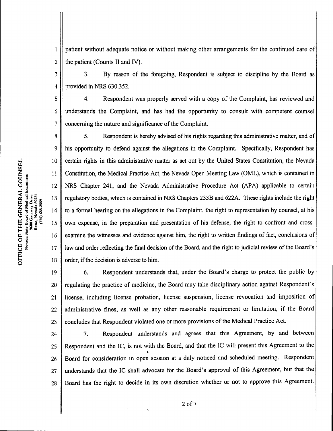patient without adequate notice or without making other arrangements for the continued care of the patient(Counts II and IV). 1 2

3. By reason of the foregoing, Respondent is subject to discipline by the Board as provided in NRS 630.352. 3 4

4. Respondent was properly served with a copy of the Complaint, has reviewed and understands the Complaint, and has had the opportunity to consult with competent counsel concerning the nature and significance of the Complaint. 5 6 7

5. Respondent is hereby advised of his rights regarding this administrative matter, and of his opportunity to defend against the allegations in the Complaint. Specifically, Respondent has certain rights in this administrative matter as set out by the United States Constitution, the Nevada Constitution, the Medical Practice Act, the Nevada Open Meeting Law (OML), which is contained in NRS Chapter 241, and the Nevada Administrative Procedure Act (APA) applicable to certain regulatory bodies, which is contained in NRS Chapters 233B and 622A. These rights include the right to a formal hearing on the allegations in the Complaint, the right to representation by counsel, at his own expense, in the preparation and presentation of his defense, the right to confront and crossexamine the witnesses and evidence against him, the right to written findings of fact, conclusions of law and order reflecting the final decision of the Board, and the right to judicial review of the Board's order, if the decision is adverse to him. 8 9 10 11 12 13 14 15 16 17 18

6.Respondent understands that, under the Board's charge to protect the public by regulating the practice of medicine, the Board may take disciplinary action against Respondent's license, including license probation, license suspension, license revocation and imposition of administrative fines, as well as any other reasonable requirement or limitation, if the Board concludes that Respondent violated one or more provisions of the Medical Practice Act. Figure 1986. The statistics as well as any other reasonable requirement of infinition, it are board<br>les that Respondent violated one or more provisions of the Medical Practice Act.<br>7. Respondent understands and agrees that 19 20 21 22 23

Respondent and the IC, is not with the Board, and that the IC will present this Agreement to the Board for consideration in open session at a duly noticed and scheduled meeting. Respondent understands that the IC shall advocate for the Board's approval of this Agreement, but that the Board has the right to decide in its own discretion whether or not to approve this Agreement. 24 25 26 27 28

O

2 of 7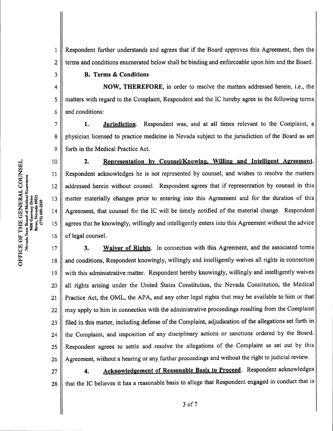$\mathbf{1}$ Respondent further understands and agrees that if the Board approves this Agreement, then the terms and conditions enumerated below shall be binding and enforceable upon him and the Board.  $\overline{c}$ 

## B. Terms&Conditions

NOW, THEREFORE, in order to resolve the matters addressed herein, i.e., the 4 5 matters with regard to the Complaint, Respondent and the IC hereby agree to the following terms and conditions: 6

1. Jurisdiction. Respondent was, and at all times relevant to the Complaint, a  $\overline{7}$ physician licensed to practice medicine in Nevada subject to the jurisdiction ofthe Board as set 8 9 forth in the Medical Practice Act.

2. Representation by Counsel/Knowing, Willing and Intelligent Agreement. Respondent acknowledges he is not represented by counsel, and wishes to resolve the matters addressed herein without counsel. Respondent agrees that if representation by counsel in this matter materially changes prior to entering into this Agreement and for the duration of this Agreement, that counsel for the IC will be timely notified of the material change. Respondent agrees that he knowingly, willingly and intelligently enters into this Agreement without the advice of legal counsel. 15 16 14 13 12 10 11

3. Waiver of Rights. In connection with this Agreement, and the associated terms and conditions, Respondent knowingly, willingly and intelligently waives all rights in connection with this administrative matter. Respondent hereby knowingly, willingly and intelligently waives all rights arising under the United States Constitution, the Nevada Constitution, the Medical Practice Act, the OML, the APA, and any other legal rights that may be available to him or that may apply to him in connection with the administrative proceedings resulting from the Complaint filed in this matter, including defense of the Complaint, adjudication of the allegations set forth in the Complaint, and imposition of any disciplinary actions or sanctions ordered by the Board. Respondent agrees to settle and resolve the allegations of the Complaint as set out by this Agreement, without a hearing or any further proceedings and without the right to judicial review. dent agrees to settle and resolve the allegations of the Complaint as set out by this<br>hent, without a hearing or any further proceedings and without the right to judicial review.<br>4. Acknowledgement of Reasonable Basis to P 25 26 24 22 23 21 20 18 19 17

that the IC believes it has a reasonable basis to allege that Respondent engaged in conduct that is 27 28

 $\overline{3}$ 

O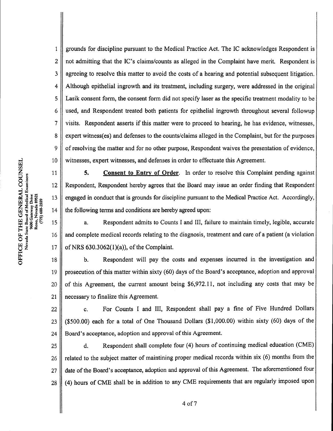grounds for discipline pursuant to the Medical Practice Act. The IC acknowledges Respondent is not admitting that the IC's claims/counts as alleged in the Complaint have merit. Respondent is agreeing to resolve this matter to avoid the costs of a hearing and potential subsequent litigation. Although epithelial ingrowth and its treatment, including surgery, were addressed in the original Lasik consent form, the consent form did not specify laser as the specific treatment modality to be used, and Respondent treated both patients for epithelial ingrowth throughout several followup visits. Respondent asserts ifthis matter were to proceed to hearing, he has evidence, witnesses, expert witness(es) and defenses to the counts/claims alleged in the Complaint, but for the purposes of resolving the matter and for no other purpose, Respondent waives the presentation of evidence, witnesses, expert witnesses, and defenses in order to effectuate this Agreement. 1 2 3 4 5 6 7 8 9 10

5. Consent to Entry of Order. In order to resolve this Complaint pending against Respondent, Respondent hereby agrees that the Board may issue an order finding that Respondent engaged in conduct that is grounds for discipline pursuant to the Medical Practice Act. Accordingly, the following terms and conditions are hereby agreed upon: 11 12 13 14

a. Respondent admits to Counts I and III, failure to maintain timely, legible, accurate and complete medical records relating to the diagnosis, treatment and care of a patient (a violation of NRS  $630.3062(1)(a)$ , of the Complaint. 15 16 17

b. Respondent will pay the costs and expenses incurred in the investigation and prosecution of this matter within sixty (60) days of the Board's acceptance, adoption and approval of this Agreement, the current amount being \$6,972.11, not including any costs that may be necessary to finalize this Agreement. 18 19 20 21

c. For Counts I and III, Respondent shall pay a fine of Five Hundred Dollars  $($500.00)$  each for a total of One Thousand Dollars  $($1,000.00)$  within sixty (60) days of the Board's acceptance, adoption and approval of this Agreement. 22 23 24

d. Respondent shall complete four (4) hours of continuing medical education (CME) related to the subject matter of maintining proper medical records within six (6) months from the date of the Board's acceptance, adoption and approval of this Agreement. The aforementioned four (4) hours ofCME shall be in addition to any CME requirements that are regularly imposed upon 25 26 27 28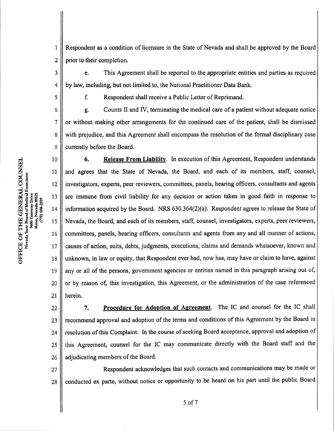Respondent as a condition of licensure in the State of Nevada and shall be approved by the Board prior to their completion. 1 2

e. This Agreement shall be reported to the appropriate entities and parties as required by law, including, but not limited to, the National Practitioner Data Bank. F. This Agreement shall be reported to the appropriate entirely<br>including, but not limited to, the National Practitioner Data Band<br>f. Respondent shall receive a Public Letter of Reprimand.

f. Respondent shall receive a Public Letter of Reprimand.<br>g. Counts II and IV, terminating the medical care of a patient without adequate notice or without making other arrangements for the continued care ofthe patient, shall be dismissed with prejudice, and this Agreement shall encompass the resolution of the formal disciplinary case currently before the Board. 6 7 8 9

6. Release From Liability. In execution of this Agreement, Respondent understands 10 and agrees that the State of Nevada, the Board, and each of its members, staff, counsel, 11 investigators, experts, peerreviewers, committees, panels, hearing officers, consultants and agents 12 13 are immune from civil liability for any decision or action taken in good faith in response to information acquired by the Board. NRS  $630.364(2)(a)$ . Respondent agrees to release the State of 14 Nevada, the Board, and each of its members, staff, counsel, investigators, experts, peer reviewers, 15 committees, panels, hearing officers, consultants and agents from any and all manner of actions, 16 causes of action, suits, debts, judgments, executions, claims and demands whatsoever, known and 17 unknown, in law or equity, that Respondent ever had, now has, may have or claim to have, against 18 any or all of the persons, government agencies or entities named in this paragraph arising out of, 19 or by reason of, this investigation, this Agreement, or the administration of the case referenced 20 herein. 21

7. Procedure for Adoption of Agreement. The IC and counsel for the IC shall recommend approval and adoption of the terms and conditions of this Agreement by the Board in resolution of this Complaint. In the course of seeking Board acceptance, approval and adoption of this Agreement, counsel for the IC may communicate directly with the Board staff and the adjudicating members of the Board. 22 23 24 25 26

Respondent acknowledges that such contacts and communications may be made or conducted ex parte, without notice or opportunity to be heard on his part until the public Board 27 28

w

3

4

5

5 of 7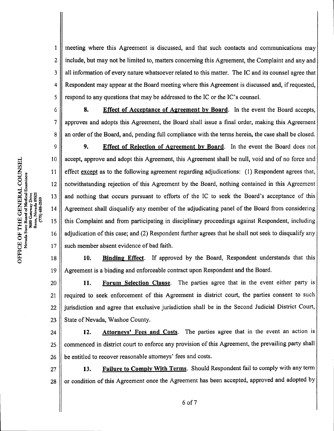meeting where this Agreement is discussed, and that such contacts and communications may include, but may not be limited to, matters concerning this Agreement, the Complaint and any and all information of every nature whatsoever related to this matter. The IC and its counsel agree that Respondent may appear at the Board meeting where this Agreement is discussed and, if requested, respond to any questions that may be addressed to the IC or the IC's counsel. 1 2 3 4 5

6

8. Effect of Acceptance of Agreement by Board. In the event the Board accepts, approves and adopts this Agreement, the Board shall issue a final order, making this Agreement an order of the Board, and, pending full compliance with the terms herein, the case shall be closed. 7 8

9. Effect of Rejection of Agreement by Board. In the event the Board does not<br>9. Effect of Rejection of Agreement by Board. In the event the Board does not accept, approve and adopt this Agreement, this Agreement shall be null, void and of no force and effect except as to the following agreement regarding adjudications:  $(1)$  Respondent agrees that, notwithstanding rejection of this Agreement by the Board, nothing contained in this Agreement and nothing that occurs pursuant to efforts of the IC to seek the Board's acceptance of this Agreement shall disqualify any member of the adjudicating panel of the Board from considering this Complaint and from participating in disciplinary proceedings against Respondent, including adjudication of this case; and (2) Respondent further agrees that he shall not seek to disqualify any such member absent evidence of bad faith. 9 10 11 12 13 14 15 16 17

10. Binding Effect. If approved by the Board, Respondent understands that this Agreement is a binding and enforceable contract upon Respondent and the Board. 18 19

11. Forum Selection Clause. The parties agree that in the event either party is required to seek enforcement of this Agreement in district court, the parties consent to such jurisdiction and agree that exclusive jurisdiction shall be in the Second Judicial District Court, State of Nevada, Washoe County. 20 21 22 23

12. Attorneys' Fees and Costs. The parties agree that in the event an action is commenced in district court to enforce any provision of this Agreement, the prevailing party shall be entitled to recover reasonable attorneys' fees and costs. 24 25 26

13. Failure to Comply With Terms. Should Respondent fail to comply with any term or condition ofthis Agreement once the Agreement has been accepted, approved and adopted by 27 28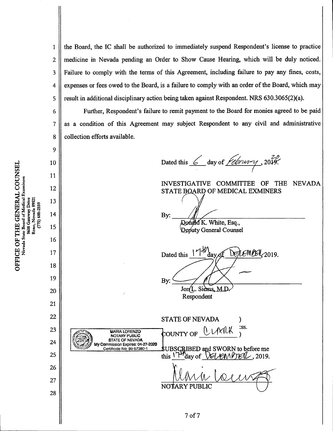the Board, the IC shall be authorized to immediately suspend Respondent's license to practice medicine in Nevada pending an Order to Show Cause Hearing, which will be duly noticed. Failure to comply with the terms of this Agreement, including failure to pay any fines, costs, expenses or fees owed to the Board, is a failure to comply with an order of the Board, which may result in additional disciplinary action being taken against Respondent. NRS  $630.3065(2)(a)$ . 1 2 3 4 5

Further, Respondent's failure to remit payment to the Board for monies agreed to be paid as a condition of this Agreement may subject Respondent to any civil and administrative collection efforts available.

Dated this  $6$  day of  $\overline{1}$ INVESTIGATIVE COMMITTEE OF THE NEVADA STATE BOARD OF MEDICAL EXMINERS By: Donald K. White, Esq., Deputy General Counsel DE/LEMBER, 2019. Dated this  $|V|$ day, By: Jon(L. Siems, M.D Respondent STATE OF NEVADA COUNTY OF CLAXILK :ss. MARIA LORENZO NOTARY PUBLIC STATE OF NEVADA Commission Expires: 04-27-2020 Certificate No: 99-57380-1 **SUBSCRIBED and SWORN to before me**<br>this  $\frac{114}{100}$  of *MUM/DEIL*, 2019. NOTA<sub>A</sub> <sup>7</sup> of7

w /^Nevada State Board of Medical Examiners  ${\rm \bf C}$   ${\rm \bf C}$ <br>Sxamin 9600 Gateway Drive<br>Reno, Nevada 8952 (775) 688-2559 TCE<br>Neva

5<br>Ö

6

7

8

9

10

11

12

13

14

15

16

17

18

19

20

21

22

23

24

25

26

27

28